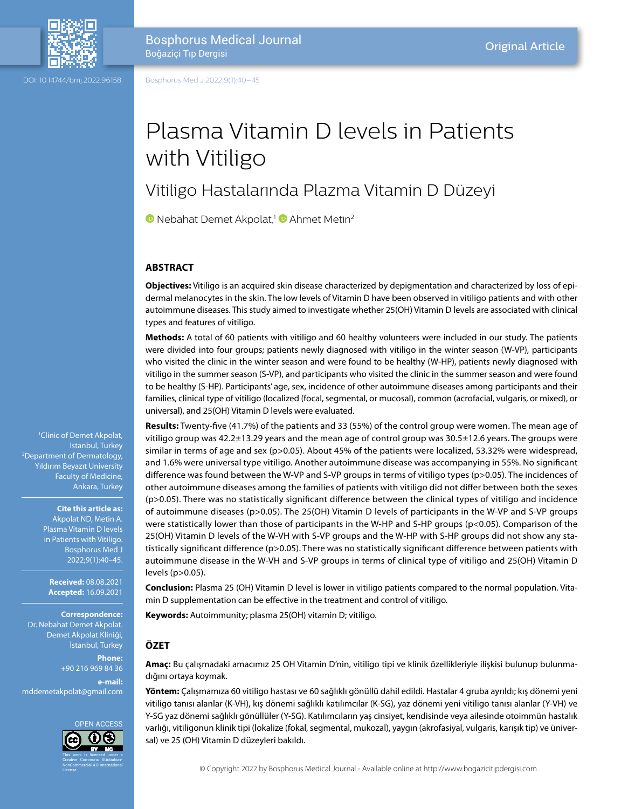

DOI: 10.14744/bmj.2022.96158

Boğaziçi Tıp Dergisi

Bosphorus Medical Journal

Bosphorus Med J 2022;9(1):40–45

# Plasma Vitamin D levels in Patients with Vitiligo

# Vitiligo Hastalarında Plazma Vitamin D Düzeyi

**D**Nebahat Demet Akpolat,<sup>1</sup> D Ahmet Metin<sup>2</sup>

#### **ABSTRACT**

**Objectives:** Vitiligo is an acquired skin disease characterized by depigmentation and characterized by loss of epidermal melanocytes in the skin. The low levels of Vitamin D have been observed in vitiligo patients and with other autoimmune diseases. This study aimed to investigate whether 25(OH) Vitamin D levels are associated with clinical types and features of vitiligo.

**Methods:** A total of 60 patients with vitiligo and 60 healthy volunteers were included in our study. The patients were divided into four groups; patients newly diagnosed with vitiligo in the winter season (W-VP), participants who visited the clinic in the winter season and were found to be healthy (W-HP), patients newly diagnosed with vitiligo in the summer season (S-VP), and participants who visited the clinic in the summer season and were found to be healthy (S-HP). Participants' age, sex, incidence of other autoimmune diseases among participants and their families, clinical type of vitiligo (localized (focal, segmental, or mucosal), common (acrofacial, vulgaris, or mixed), or universal), and 25(OH) Vitamin D levels were evaluated.

**Results:** Twenty-five (41.7%) of the patients and 33 (55%) of the control group were women. The mean age of vitiligo group was 42.2±13.29 years and the mean age of control group was 30.5±12.6 years. The groups were similar in terms of age and sex (p>0.05). About 45% of the patients were localized, 53.32% were widespread, and 1.6% were universal type vitiligo. Another autoimmune disease was accompanying in 55%. No significant difference was found between the W-VP and S-VP groups in terms of vitiligo types (p>0.05). The incidences of other autoimmune diseases among the families of patients with vitiligo did not differ between both the sexes (p>0.05). There was no statistically significant difference between the clinical types of vitiligo and incidence of autoimmune diseases (p>0.05). The 25(OH) Vitamin D levels of participants in the W-VP and S-VP groups were statistically lower than those of participants in the W-HP and S-HP groups (p<0.05). Comparison of the 25(OH) Vitamin D levels of the W-VH with S-VP groups and the W-HP with S-HP groups did not show any statistically significant difference (p>0.05). There was no statistically significant difference between patients with autoimmune disease in the W-VH and S-VP groups in terms of clinical type of vitiligo and 25(OH) Vitamin D levels (p>0.05).

**Conclusion:** Plasma 25 (OH) Vitamin D level is lower in vitiligo patients compared to the normal population. Vitamin D supplementation can be effective in the treatment and control of vitiligo.

**Keywords:** Autoimmunity; plasma 25(OH) vitamin D; vitiligo.

#### **ÖZET**

**Amaç:** Bu çalışmadaki amacımız 25 OH Vitamin D'nin, vitiligo tipi ve klinik özellikleriyle ilişkisi bulunup bulunmadığını ortaya koymak.

**Yöntem:** Çalışmamıza 60 vitiligo hastası ve 60 sağlıklı gönüllü dahil edildi. Hastalar 4 gruba ayrıldı; kış dönemi yeni vitiligo tanısı alanlar (K-VH), kış dönemi sağlıklı katılımcılar (K-SG), yaz dönemi yeni vitiligo tanısı alanlar (Y-VH) ve Y-SG yaz dönemi sağlıklı gönüllüler (Y-SG). Katılımcıların yaş cinsiyet, kendisinde veya ailesinde otoimmün hastalık varlığı, vitiligonun klinik tipi (lokalize (fokal, segmental, mukozal), yaygın (akrofasiyal, vulgaris, karışık tip) ve üniversal) ve 25 (OH) Vitamin D düzeyleri bakıldı.

© Copyright 2022 by Bosphorus Medical Journal - Available online at http://www.bogazicitipdergisi.com

1 Clinic of Demet Akpolat, İstanbul, Turkey 2 Department of Dermatology, Yıldırım Beyazıt University Faculty of Medicine, Ankara, Turkey

> **Cite this article as:** Akpolat ND, Metin A. Plasma Vitamin D levels in Patients with Vitiligo. Bosphorus Med J 2022;9(1):40–45.

**Received:** 08.08.2021 **Accepted:** 16.09.2021

**Correspondence:**

Dr. Nebahat Demet Akpolat. Demet Akpolat Kliniği, İstanbul, Turkey

**Phone:** +90 216 969 84 36 **e-mail:** mddemetakpolat@gmail.com

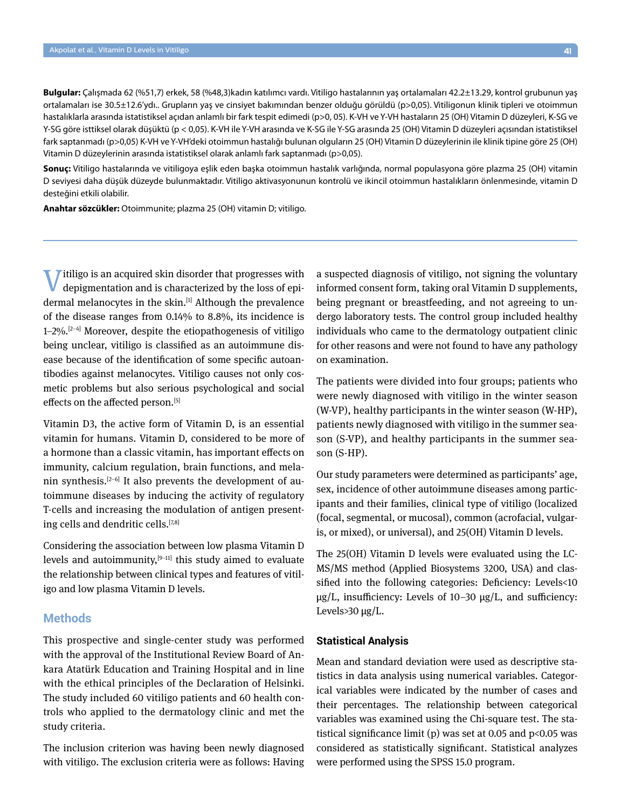**Bulgular:** Çalışmada 62 (%51,7) erkek, 58 (%48,3)kadın katılımcı vardı. Vitiligo hastalarının yaş ortalamaları 42.2±13.29, kontrol grubunun yaş ortalamaları ise 30.5±12.6'ydı.. Grupların yaş ve cinsiyet bakımından benzer olduğu görüldü (p>0,05). Vitiligonun klinik tipleri ve otoimmun hastalıklarla arasında istatistiksel açıdan anlamlı bir fark tespit edimedi (p>0, 05). K-VH ve Y-VH hastaların 25 (OH) Vitamin D düzeyleri, K-SG ve Y-SG göre isttiksel olarak düşüktü (p < 0,05). K-VH ile Y-VH arasında ve K-SG ile Y-SG arasında 25 (OH) Vitamin D düzeyleri açısından istatistiksel fark saptanmadı (p>0,05) K-VH ve Y-VH'deki otoimmun hastalığı bulunan olguların 25 (OH) Vitamin D düzeylerinin ile klinik tipine göre 25 (OH) Vitamin D düzeylerinin arasında istatistiksel olarak anlamlı fark saptanmadı (p>0,05).

**Sonuç:** Vitiligo hastalarında ve vitiligoya eşlik eden başka otoimmun hastalık varlığında, normal populasyona göre plazma 25 (OH) vitamin D seviyesi daha düşük düzeyde bulunmaktadır. Vitiligo aktivasyonunun kontrolü ve ikincil otoimmun hastalıkların önlenmesinde, vitamin D desteğini etkili olabilir.

**Anahtar sözcükler:** Otoimmunite; plazma 25 (OH) vitamin D; vitiligo.

 $\overline{I}$  itiligo is an acquired skin disorder that progresses with depigmentation and is characterized by the loss of epidermal melanocytes in the skin.<sup>[1]</sup> Although the prevalence of the disease ranges from 0.14% to 8.8%, its incidence is  $1-2\%$ .  $[2-4]$  Moreover, despite the etiopathogenesis of vitiligo being unclear, vitiligo is classified as an autoimmune disease because of the identification of some specific autoantibodies against melanocytes. Vitiligo causes not only cosmetic problems but also serious psychological and social effects on the affected person.<sup>[5]</sup>

Vitamin D3, the active form of Vitamin D, is an essential vitamin for humans. Vitamin D, considered to be more of a hormone than a classic vitamin, has important effects on immunity, calcium regulation, brain functions, and melanin synthesis. $[2-6]$  It also prevents the development of autoimmune diseases by inducing the activity of regulatory T-cells and increasing the modulation of antigen presenting cells and dendritic cells.[7,8]

Considering the association between low plasma Vitamin D levels and autoimmunity, $[9-11]$  this study aimed to evaluate the relationship between clinical types and features of vitiligo and low plasma Vitamin D levels.

#### **Methods**

This prospective and single-center study was performed with the approval of the Institutional Review Board of Ankara Atatürk Education and Training Hospital and in line with the ethical principles of the Declaration of Helsinki. The study included 60 vitiligo patients and 60 health controls who applied to the dermatology clinic and met the study criteria.

The inclusion criterion was having been newly diagnosed with vitiligo. The exclusion criteria were as follows: Having a suspected diagnosis of vitiligo, not signing the voluntary informed consent form, taking oral Vitamin D supplements, being pregnant or breastfeeding, and not agreeing to undergo laboratory tests. The control group included healthy individuals who came to the dermatology outpatient clinic for other reasons and were not found to have any pathology on examination.

The patients were divided into four groups; patients who were newly diagnosed with vitiligo in the winter season (W-VP), healthy participants in the winter season (W-HP), patients newly diagnosed with vitiligo in the summer season (S-VP), and healthy participants in the summer season (S-HP).

Our study parameters were determined as participants' age, sex, incidence of other autoimmune diseases among participants and their families, clinical type of vitiligo (localized (focal, segmental, or mucosal), common (acrofacial, vulgaris, or mixed), or universal), and 25(OH) Vitamin D levels.

The 25(OH) Vitamin D levels were evaluated using the LC-MS/MS method (Applied Biosystems 3200, USA) and classified into the following categories: Deficiency: Levels<10 µg/L, insufficiency: Levels of 10–30 µg/L, and sufficiency: Levels $>$ 30 µg/L.

#### **Statistical Analysis**

Mean and standard deviation were used as descriptive statistics in data analysis using numerical variables. Categorical variables were indicated by the number of cases and their percentages. The relationship between categorical variables was examined using the Chi-square test. The statistical significance limit (p) was set at 0.05 and  $p$ <0.05 was considered as statistically significant. Statistical analyzes were performed using the SPSS 15.0 program.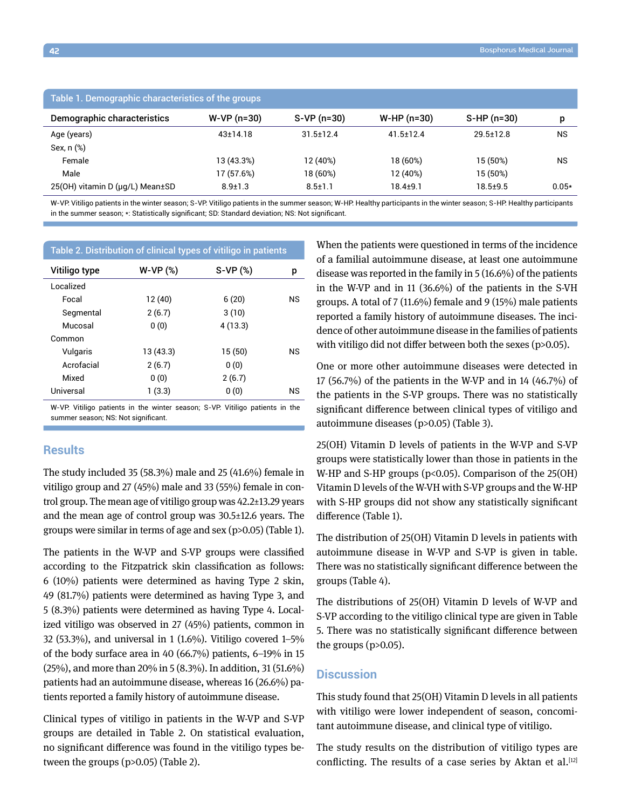| Table 1. Demographic characteristics of the groups |                |                 |                 |                 |           |  |
|----------------------------------------------------|----------------|-----------------|-----------------|-----------------|-----------|--|
| Demographic characteristics                        | $W-VP(n=30)$   | $S-VP(n=30)$    | $W-HP (n=30)$   | $S-HP(n=30)$    | p         |  |
| Age (years)                                        | $43 \pm 14.18$ | $31.5 \pm 12.4$ | $41.5 \pm 12.4$ | $29.5 \pm 12.8$ | <b>NS</b> |  |
| Sex, n (%)                                         |                |                 |                 |                 |           |  |
| Female                                             | 13 (43.3%)     | 12 (40%)        | 18 (60%)        | 15 (50%)        | <b>NS</b> |  |
| Male                                               | 17 (57.6%)     | 18 (60%)        | 12 (40%)        | 15 (50%)        |           |  |
| 25(OH) vitamin D (µg/L) Mean±SD                    | $8.9 \pm 1.3$  | $8.5 \pm 1.1$   | 18.4±9.1        | $18.5 + 9.5$    | $0.05*$   |  |

W-VP: Vitiligo patients in the winter season; S-VP: Vitiligo patients in the summer season; W-HP: Healthy participants in the winter season; S-HP: Healthy participants in the summer season; \*: Statistically significant; SD: Standard deviation; NS: Not significant.

| Table 2. Distribution of clinical types of vitiligo in patients |           |           |           |  |  |
|-----------------------------------------------------------------|-----------|-----------|-----------|--|--|
| Vitiligo type                                                   | $W-VP(%)$ | $S-VP(%)$ | p         |  |  |
| Localized                                                       |           |           |           |  |  |
| Focal                                                           | 12 (40)   | 6(20)     | <b>NS</b> |  |  |
| Segmental                                                       | 2(6.7)    | 3(10)     |           |  |  |
| Mucosal                                                         | 0(0)      | 4(13.3)   |           |  |  |
| Common                                                          |           |           |           |  |  |
| Vulgaris                                                        | 13 (43.3) | 15(50)    | ΝS        |  |  |
| Acrofacial                                                      | 2(6.7)    | 0(0)      |           |  |  |
| Mixed                                                           | 0(0)      | 2(6.7)    |           |  |  |
| Universal                                                       | 1(3.3)    | 0(0)      | ΝS        |  |  |

W-VP: Vitiligo patients in the winter season; S-VP: Vitiligo patients in the summer season; NS: Not significant.

### **Results**

The study included 35 (58.3%) male and 25 (41.6%) female in vitiligo group and 27 (45%) male and 33 (55%) female in control group. The mean age of vitiligo group was 42.2±13.29 years and the mean age of control group was 30.5±12.6 years. The groups were similar in terms of age and sex (p>0.05) (Table 1).

The patients in the W-VP and S-VP groups were classified according to the Fitzpatrick skin classification as follows: 6 (10%) patients were determined as having Type 2 skin, 49 (81.7%) patients were determined as having Type 3, and 5 (8.3%) patients were determined as having Type 4. Localized vitiligo was observed in 27 (45%) patients, common in 32 (53.3%), and universal in 1 (1.6%). Vitiligo covered 1–5% of the body surface area in 40 (66.7%) patients, 6–19% in 15 (25%), and more than 20% in 5 (8.3%). In addition, 31 (51.6%) patients had an autoimmune disease, whereas 16 (26.6%) patients reported a family history of autoimmune disease.

Clinical types of vitiligo in patients in the W-VP and S-VP groups are detailed in Table 2. On statistical evaluation, no significant difference was found in the vitiligo types between the groups (p>0.05) (Table 2).

When the patients were questioned in terms of the incidence of a familial autoimmune disease, at least one autoimmune disease was reported in the family in 5 (16.6%) of the patients in the W-VP and in 11 (36.6%) of the patients in the S-VH groups. A total of 7 (11.6%) female and 9 (15%) male patients reported a family history of autoimmune diseases. The incidence of other autoimmune disease in the families of patients with vitiligo did not differ between both the sexes (p>0.05).

One or more other autoimmune diseases were detected in 17 (56.7%) of the patients in the W-VP and in 14 (46.7%) of the patients in the S-VP groups. There was no statistically significant difference between clinical types of vitiligo and autoimmune diseases (p>0.05) (Table 3).

25(OH) Vitamin D levels of patients in the W-VP and S-VP groups were statistically lower than those in patients in the W-HP and S-HP groups ( $p<0.05$ ). Comparison of the 25(OH) Vitamin D levels of the W-VH with S-VP groups and the W-HP with S-HP groups did not show any statistically significant difference (Table 1).

The distribution of 25(OH) Vitamin D levels in patients with autoimmune disease in W-VP and S-VP is given in table. There was no statistically significant difference between the groups (Table 4).

The distributions of 25(OH) Vitamin D levels of W-VP and S-VP according to the vitiligo clinical type are given in Table 5. There was no statistically significant difference between the groups (p>0.05).

# **Discussion**

This study found that 25(OH) Vitamin D levels in all patients with vitiligo were lower independent of season, concomitant autoimmune disease, and clinical type of vitiligo.

The study results on the distribution of vitiligo types are conflicting. The results of a case series by Aktan et al.<sup>[12]</sup>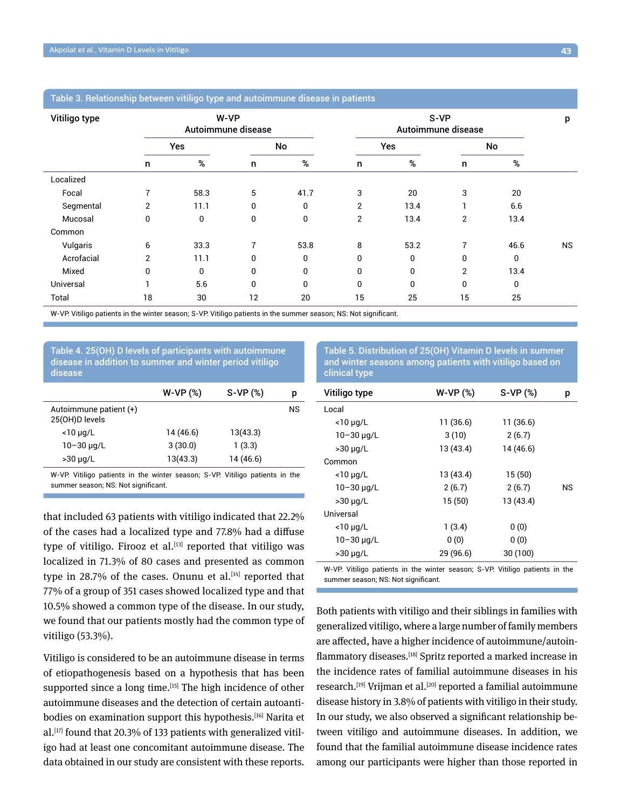|               | Table 3. Relationship between vitiligo type and autoimmune disease in patients |                            |  |
|---------------|--------------------------------------------------------------------------------|----------------------------|--|
| Vitiligo type | W-VP<br>Autoimmune disease                                                     | S-VP<br>Autoimmune disease |  |

# Table 3. Relationship between vitiligo type and autoimmune

|            | Autoimmune disease |      |    | Autoimmune disease |                |      |                |              |           |
|------------|--------------------|------|----|--------------------|----------------|------|----------------|--------------|-----------|
|            | Yes                |      | No |                    | Yes            |      | No             |              |           |
|            | n                  | %    | n  | $\%$               | n              | %    | n              | %            |           |
| Localized  |                    |      |    |                    |                |      |                |              |           |
| Focal      | 7                  | 58.3 | 5  | 41.7               | 3              | 20   | 3              | 20           |           |
| Segmental  | 2                  | 11.1 | 0  | 0                  | $\overline{2}$ | 13.4 |                | 6.6          |           |
| Mucosal    | 0                  | 0    | 0  | 0                  | $\overline{2}$ | 13.4 | $\overline{2}$ | 13.4         |           |
| Common     |                    |      |    |                    |                |      |                |              |           |
| Vulgaris   | 6                  | 33.3 | 7  | 53.8               | 8              | 53.2 | $\overline{ }$ | 46.6         | <b>NS</b> |
| Acrofacial | $\overline{2}$     | 11.1 | 0  | $\mathbf{0}$       | 0              | 0    | 0              | $\mathbf{0}$ |           |
| Mixed      | 0                  | 0    | 0  | 0                  | 0              | 0    | $\overline{2}$ | 13.4         |           |
| Universal  |                    | 5.6  | 0  | 0                  | 0              | 0    | 0              | 0            |           |
| Total      | 18                 | 30   | 12 | 20                 | 15             | 25   | 15             | 25           |           |

W-VP: Vitiligo patients in the winter season; S-VP: Vitiligo patients in the summer season; NS: Not significant.

Table 4. 25(OH) D levels of participants with autoimmune disease in addition to summer and winter period vitiligo disease

|                                          | $W-VP(%)$ | $S-VP(%)$ | р  |
|------------------------------------------|-----------|-----------|----|
| Autoimmune patient (+)<br>25(OH)D levels |           |           | ΝS |
| $<$ 10 µg/L                              | 14 (46.6) | 13(43.3)  |    |
| $10 - 30 \mu q/L$                        | 3(30.0)   | 1(3.3)    |    |
| $>30 \mu q/L$                            | 13(43.3)  | 14 (46.6) |    |
|                                          |           |           |    |

W-VP: Vitiligo patients in the winter season; S-VP: Vitiligo patients in the summer season; NS: Not significant.

that included 63 patients with vitiligo indicated that 22.2% of the cases had a localized type and 77.8% had a diffuse type of vitiligo. Firooz et al. $[13]$  reported that vitiligo was localized in 71.3% of 80 cases and presented as common type in 28.7% of the cases. Onunu et al. $[14]$  reported that 77% of a group of 351 cases showed localized type and that 10.5% showed a common type of the disease. In our study, we found that our patients mostly had the common type of vitiligo (53.3%).

Vitiligo is considered to be an autoimmune disease in terms of etiopathogenesis based on a hypothesis that has been supported since a long time.<sup>[15]</sup> The high incidence of other autoimmune diseases and the detection of certain autoantibodies on examination support this hypothesis.<sup>[16]</sup> Narita et  $al.$ <sup>[17]</sup> found that 20.3% of 133 patients with generalized vitiligo had at least one concomitant autoimmune disease. The data obtained in our study are consistent with these reports.

Table 5. Distribution of 25(OH) Vitamin D levels in summer and winter seasons among patients with vitiligo based on clinical type

| Vitiligo type     | W-VP (%)  | $S-VP(%)$ | р  |
|-------------------|-----------|-----------|----|
| Local             |           |           |    |
| $<$ 10 µg/L       | 11 (36.6) | 11 (36.6) |    |
| $10 - 30 \mu q/L$ | 3(10)     | 2(6.7)    |    |
| $>30 \mu q/L$     | 13(43.4)  | 14 (46.6) |    |
| Common            |           |           |    |
| $<$ 10 µg/L       | 13(43.4)  | 15(50)    |    |
| $10 - 30 \mu q/L$ | 2(6.7)    | 2(6.7)    | ΝS |
| $>30 \mu q/L$     | 15(50)    | 13(43.4)  |    |
| Universal         |           |           |    |
| $<$ 10 µg/L       | 1(3.4)    | 0(0)      |    |
| $10 - 30 \mu q/L$ | 0(0)      | 0(0)      |    |
| $>30 \mu q/L$     | 29(96.6)  | 30 (100)  |    |
|                   |           |           |    |

W-VP: Vitiligo patients in the winter season; S-VP: Vitiligo patients in the summer season; NS: Not significant.

Both patients with vitiligo and their siblings in families with generalized vitiligo, where a large number of family members are affected, have a higher incidence of autoimmune/autoinflammatory diseases.<sup>[18]</sup> Spritz reported a marked increase in the incidence rates of familial autoimmune diseases in his research.<sup>[19]</sup> Vrijman et al.<sup>[20]</sup> reported a familial autoimmune disease history in 3.8% of patients with vitiligo in their study. In our study, we also observed a significant relationship between vitiligo and autoimmune diseases. In addition, we found that the familial autoimmune disease incidence rates among our participants were higher than those reported in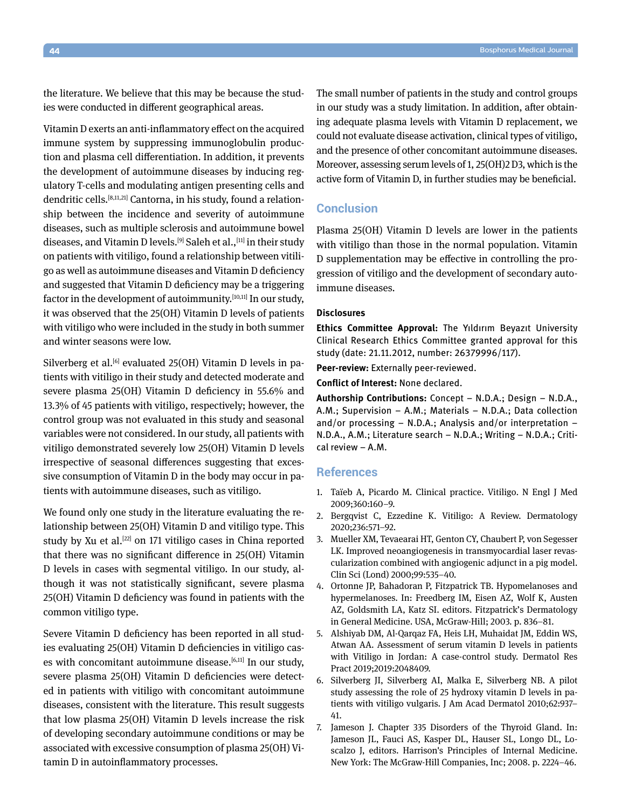the literature. We believe that this may be because the studies were conducted in different geographical areas.

Vitamin D exerts an anti-inflammatory effect on the acquired immune system by suppressing immunoglobulin production and plasma cell differentiation. In addition, it prevents the development of autoimmune diseases by inducing regulatory T-cells and modulating antigen presenting cells and dendritic cells.<sup>[8,11,21]</sup> Cantorna, in his study, found a relationship between the incidence and severity of autoimmune diseases, such as multiple sclerosis and autoimmune bowel diseases, and Vitamin D levels.<sup>[9]</sup> Saleh et al.,<sup>[11]</sup> in their study on patients with vitiligo, found a relationship between vitiligo as well as autoimmune diseases and Vitamin D deficiency and suggested that Vitamin D deficiency may be a triggering factor in the development of autoimmunity.<sup>[10,11]</sup> In our study, it was observed that the 25(OH) Vitamin D levels of patients with vitiligo who were included in the study in both summer and winter seasons were low.

Silverberg et al. $[6]$  evaluated 25(OH) Vitamin D levels in patients with vitiligo in their study and detected moderate and severe plasma 25(OH) Vitamin D deficiency in 55.6% and 13.3% of 45 patients with vitiligo, respectively; however, the control group was not evaluated in this study and seasonal variables were not considered. In our study, all patients with vitiligo demonstrated severely low 25(OH) Vitamin D levels irrespective of seasonal differences suggesting that excessive consumption of Vitamin D in the body may occur in patients with autoimmune diseases, such as vitiligo.

We found only one study in the literature evaluating the relationship between 25(OH) Vitamin D and vitiligo type. This study by Xu et al. $[22]$  on 171 vitiligo cases in China reported that there was no significant difference in 25(OH) Vitamin D levels in cases with segmental vitiligo. In our study, although it was not statistically significant, severe plasma 25(OH) Vitamin D deficiency was found in patients with the common vitiligo type.

Severe Vitamin D deficiency has been reported in all studies evaluating 25(OH) Vitamin D deficiencies in vitiligo cases with concomitant autoimmune disease.<sup>[6,11]</sup> In our study, severe plasma 25(OH) Vitamin D deficiencies were detected in patients with vitiligo with concomitant autoimmune diseases, consistent with the literature. This result suggests that low plasma 25(OH) Vitamin D levels increase the risk of developing secondary autoimmune conditions or may be associated with excessive consumption of plasma 25(OH) Vitamin D in autoinflammatory processes.

The small number of patients in the study and control groups in our study was a study limitation. In addition, after obtaining adequate plasma levels with Vitamin D replacement, we could not evaluate disease activation, clinical types of vitiligo, and the presence of other concomitant autoimmune diseases. Moreover, assessing serum levels of 1, 25(OH)2 D3, which is the active form of Vitamin D, in further studies may be beneficial.

# **Conclusion**

Plasma 25(OH) Vitamin D levels are lower in the patients with vitiligo than those in the normal population. Vitamin D supplementation may be effective in controlling the progression of vitiligo and the development of secondary autoimmune diseases.

#### **Disclosures**

**Ethics Committee Approval:** The Yıldırım Beyazıt University Clinical Research Ethics Committee granted approval for this study (date: 21.11.2012, number: 26379996/117).

**Peer-review:** Externally peer-reviewed.

**Conflict of Interest:** None declared.

**Authorship Contributions:** Concept – N.D.A.; Design – N.D.A., A.M.; Supervision – A.M.; Materials – N.D.A.; Data collection and/or processing – N.D.A.; Analysis and/or interpretation – N.D.A., A.M.; Literature search – N.D.A.; Writing – N.D.A.; Critical review – A.M.

## **References**

- 1. Taïeb A, Picardo M. Clinical practice. Vitiligo. N Engl J Med 2009;360:160–9.
- 2. Bergqvist C, Ezzedine K. Vitiligo: A Review. Dermatology 2020;236:571–92.
- 3. Mueller XM, Tevaearai HT, Genton CY, Chaubert P, von Segesser LK. Improved neoangiogenesis in transmyocardial laser revascularization combined with angiogenic adjunct in a pig model. Clin Sci (Lond) 2000;99:535–40.
- 4. Ortonne JP, Bahadoran P, Fitzpatrick TB. Hypomelanoses and hypermelanoses. In: Freedberg IM, Eisen AZ, Wolf K, Austen AZ, Goldsmith LA, Katz SI. editors. Fitzpatrick's Dermatology in General Medicine. USA, McGraw-Hill; 2003. p. 836–81.
- 5. Alshiyab DM, Al-Qarqaz FA, Heis LH, Muhaidat JM, Eddin WS, Atwan AA. Assessment of serum vitamin D levels in patients with Vitiligo in Jordan: A case-control study. Dermatol Res Pract 2019;2019:2048409.
- 6. Silverberg JI, Silverberg AI, Malka E, Silverberg NB. A pilot study assessing the role of 25 hydroxy vitamin D levels in patients with vitiligo vulgaris. J Am Acad Dermatol 2010;62:937– 41.
- 7. Jameson J. Chapter 335 Disorders of the Thyroid Gland. In: Jameson JL, Fauci AS, Kasper DL, Hauser SL, Longo DL, Loscalzo J, editors. Harrison's Principles of Internal Medicine. New York: The McGraw-Hill Companies, Inc; 2008. p. 2224–46.